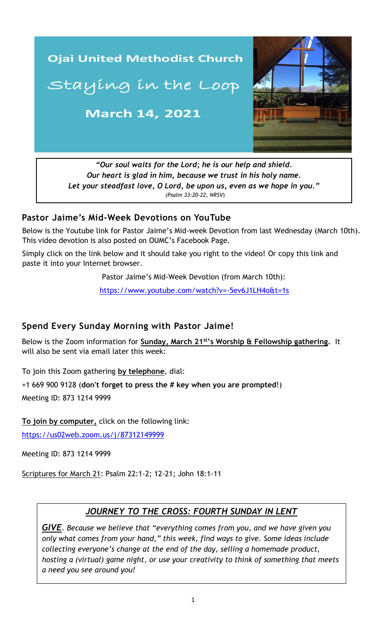

*"Our soul waits for the Lord; he is our help and shield. Our heart is glad in him, because we trust in his holy name. Let your steadfast love, O Lord, be upon us, even as we hope in you." (Psalm 33:20-22, NRSV*)

#### **Pastor Jaime's Mid-Week Devotions on YouTube**

Below is the Youtube link for Pastor Jaime's Mid-week Devotion from last Wednesday (March 10th). This video devotion is also posted on OUMC's Facebook Page.

Simply click on the link below and it should take you right to the video! Or copy this link and paste it into your Internet browser.

Pastor Jaime's Mid-Week Devotion (from March 10th):

 [https://www.youtube.com/watch?v=-5ev6J1LH4o&t=1s](https://www.youtube.com/watch?v=9a1adEVMI4U&t=6s)

## **Spend Every Sunday Morning with Pastor Jaime!**

Below is the Zoom information for **Sunday, March 21st's Worship & Fellowship gathering.** It will also be sent via email later this week:

To join this Zoom gathering **by telephone**, dial:

+1 669 900 9128 (**don't forget to press the # key when you are prompted**!)

Meeting ID: 873 1214 9999

**To join by computer,** click on the following link:

<https://us02web.zoom.us/j/87312149999>

Meeting ID: 873 1214 9999

Scriptures for March 21: Psalm 22:1-2; 12-21; John 18:1-11

## *JOURNEY TO THE CROSS: FOURTH SUNDAY IN LENT*

*GIVE. Because we believe that "everything comes from you, and we have given you only what comes from your hand," this week, find ways to give. Some ideas include collecting everyone's change at the end of the day, selling a homemade product, hosting a (virtual) game night, or use your creativity to think of something that meets a need you see around you!*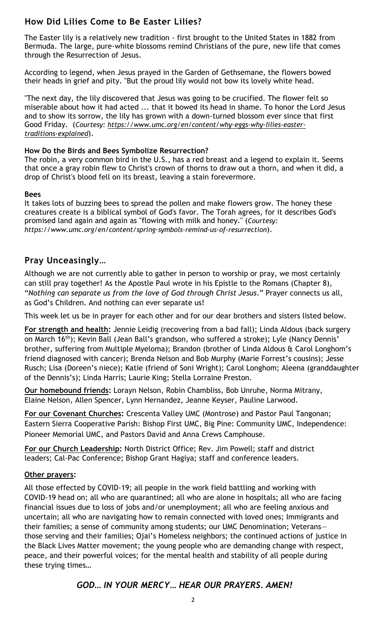# **How Did Lilies Come to Be Easter Lilies?**

The Easter lily is a relatively new tradition - first brought to the United States in 1882 from Bermuda. The large, pure-white blossoms remind Christians of the pure, new life that comes through the Resurrection of Jesus.

According to legend, when Jesus prayed in the Garden of Gethsemane, the flowers bowed their heads in grief and pity. "But the proud lily would not bow its lovely white head.

"The next day, the lily discovered that Jesus was going to be crucified. The flower felt so miserable about how it had acted ... that it bowed its head in shame. To honor the Lord Jesus and to show its sorrow, the lily has grown with a down-turned blossom ever since that first Good Friday. (*Courtesy: [https://www.umc.org/en/content/why-eggs-why-lilies-easter](https://www.umc.org/en/content/why-eggs-why-lilies-easter-traditions-explained)[traditions-explained](https://www.umc.org/en/content/why-eggs-why-lilies-easter-traditions-explained)*).

#### **How Do the Birds and Bees Symbolize Resurrection?**

The robin, a very common bird in the U.S., has a red breast and a legend to explain it. Seems that once a gray robin flew to Christ's crown of thorns to draw out a thorn, and when it did, a drop of Christ's blood fell on its breast, leaving a stain forevermore.

#### **Bees**

It takes lots of buzzing bees to spread the pollen and make flowers grow. The honey these creatures create is a biblical symbol of God's favor. The Torah agrees, for it describes God's promised land again and again as "flowing with milk and honey." (*Courtesy: https://www.umc.org/en/content/spring-symbols-remind-us-of-resurrection*).

## **Pray Unceasingly…**

Although we are not currently able to gather in person to worship or pray, we most certainly can still pray together! As the Apostle Paul wrote in his Epistle to the Romans (Chapter 8), "*Nothing can separate us from the love of God through Christ Jesus*." Prayer connects us all, as God's Children. And nothing can ever separate us!

This week let us be in prayer for each other and for our dear brothers and sisters listed below.

**For strength and health:** Jennie Leidig (recovering from a bad fall); Linda Aldous (back surgery on March 16<sup>th</sup>); Kevin Ball (Jean Ball's grandson, who suffered a stroke); Lyle (Nancy Dennis' brother, suffering from Multiple Myeloma); Brandon (brother of Linda Aldous & Carol Longhom's friend diagnosed with cancer); Brenda Nelson and Bob Murphy (Marie Forrest's cousins); Jesse Rusch; Lisa (Doreen's niece); Katie (friend of Soni Wright); Carol Longhom; Aleena (granddaughter of the Dennis's); Linda Harris; Laurie King; Stella Lorraine Preston.

**Our homebound friends:** Lorayn Nelson, Robin Chambliss, Bob Unruhe, Norma Mitrany, Elaine Nelson, Allen Spencer, Lynn Hernandez, Jeanne Keyser, Pauline Larwood.

**For our Covenant Churches:** Crescenta Valley UMC (Montrose) and Pastor Paul Tangonan; Eastern Sierra Cooperative Parish: Bishop First UMC, Big Pine: Community UMC, Independence: Pioneer Memorial UMC, and Pastors David and Anna Crews Camphouse.

**For our Church Leadership:** North District Office; Rev. Jim Powell; staff and district leaders; Cal-Pac Conference; Bishop Grant Hagiya; staff and conference leaders.

#### **Other prayers:**

\_\_\_\_\_\_\_\_\_\_\_\_\_\_\_\_\_\_\_\_\_\_\_\_\_\_\_\_\_\_\_\_\_\_\_\_\_\_\_\_\_\_\_\_\_\_\_\_\_\_\_\_\_\_\_\_\_\_\_\_\_\_ financial issues due to loss of jobs and/or unemployment; all who are feeling anxious and All those effected by COVID-19; all people in the work field battling and working with COVID-19 head on; all who are quarantined; all who are alone in hospitals; all who are facing uncertain; all who are navigating how to remain connected with loved ones; Immigrants and their families; a sense of community among students; our UMC Denomination; Veterans those serving and their families; Ojai's Homeless neighbors; the continued actions of justice in the Black Lives Matter movement; the young people who are demanding change with respect, peace, and their powerful voices; for the mental health and stability of all people during these trying times…

## *GOD… IN YOUR MERCY… HEAR OUR PRAYERS. AMEN!*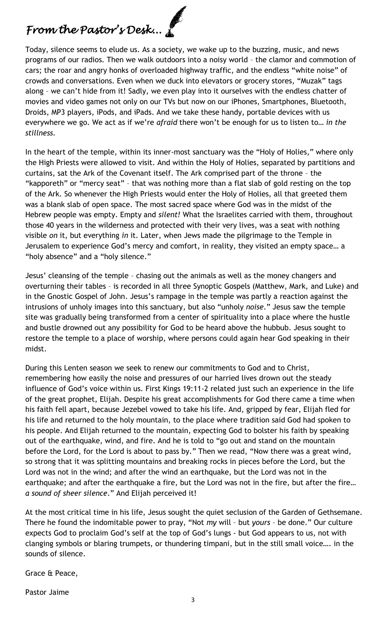# *From the Pastor's Desk...*

Today, silence seems to elude us. As a society, we wake up to the buzzing, music, and news programs of our radios. Then we walk outdoors into a noisy world – the clamor and commotion of cars; the roar and angry honks of overloaded highway traffic, and the endless "white noise" of crowds and conversations. Even when we duck into elevators or grocery stores, "Muzak" tags along - we can't hide from it! Sadly, we even play into it ourselves with the endless chatter of movies and video games not only on our TVs but now on our iPhones, Smartphones, Bluetooth, Droids, MP3 players, iPods, and iPads. And we take these handy, portable devices with us everywhere we go. We act as if we're *afraid* there won't be enough for us to listen to… *in the stillness.* 

In the heart of the temple, within its inner-most sanctuary was the "Holy of Holies," where only the High Priests were allowed to visit. And within the Holy of Holies, separated by partitions and curtains, sat the Ark of the Covenant itself. The Ark comprised part of the throne – the "kapporeth" or "mercy seat" – that was nothing more than a flat slab of gold resting on the top of the Ark. So whenever the High Priests would enter the Holy of Holies, all that greeted them was a blank slab of open space. The most sacred space where God was in the midst of the Hebrew people was empty. Empty and *silent!* What the Israelites carried with them, throughout those 40 years in the wilderness and protected with their very lives, was a seat with nothing visible *on* it, but everything *in* it. Later, when Jews made the pilgrimage to the Temple in Jerusalem to experience God's mercy and comfort, in reality, they visited an empty space… a "holy absence" and a "holy silence."

Jesus' cleansing of the temple – chasing out the animals as well as the money changers and overturning their tables – is recorded in all three Synoptic Gospels (Matthew, Mark, and Luke) and in the Gnostic Gospel of John. Jesus's rampage in the temple was partly a reaction against the intrusions of unholy images into this sanctuary, but also "unholy *noise*." Jesus saw the temple site was gradually being transformed from a center of spirituality into a place where the hustle and bustle drowned out any possibility for God to be heard above the hubbub. Jesus sought to restore the temple to a place of worship, where persons could again hear God speaking in their midst.

During this Lenten season we seek to renew our commitments to God and to Christ, remembering how easily the noise and pressures of our harried lives drown out the steady influence of God's voice within us. First Kings 19:11-2 related just such an experience in the life of the great prophet, Elijah. Despite his great accomplishments for God there came a time when his faith fell apart, because Jezebel vowed to take his life. And, gripped by fear, Elijah fled for his life and returned to the holy mountain, to the place where tradition said God had spoken to his people. And Elijah returned to the mountain, expecting God to bolster his faith by speaking out of the earthquake, wind, and fire. And he is told to "go out and stand on the mountain before the Lord, for the Lord is about to pass by." Then we read, "Now there was a great wind, so strong that it was splitting mountains and breaking rocks in pieces before the Lord, but the Lord was not in the wind; and after the wind an earthquake, but the Lord was not in the earthquake; and after the earthquake a fire, but the Lord was not in the fire, but after the fire… *a sound of sheer silence*." And Elijah perceived it!

At the most critical time in his life, Jesus sought the quiet seclusion of the Garden of Gethsemane. There he found the indomitable power to pray, "Not *my* will – but *yours* – be done." Our culture expects God to proclaim God's self at the top of God's lungs - but God appears to us, not with clanging symbols or blaring trumpets, or thundering timpani, but in the still small voice…. in the sounds of silence.

Grace & Peace,

Pastor Jaime